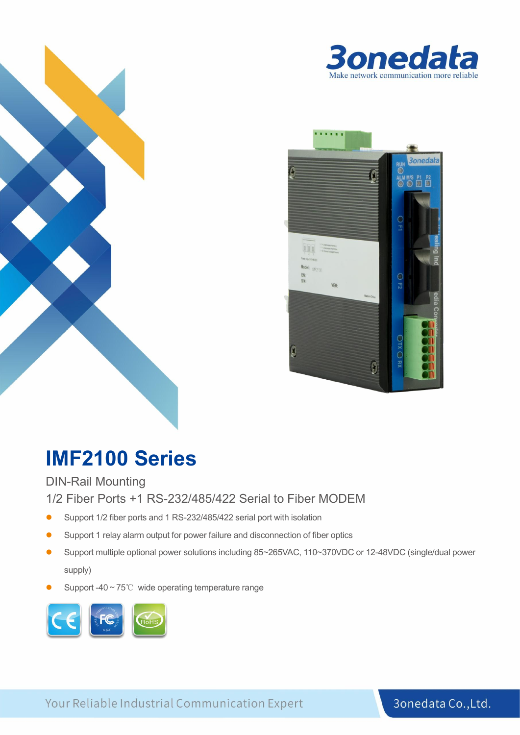



# **IMF2100 Series**

DIN-Rail Mounting

1/2 Fiber Ports +1 RS-232/485/422 Serial to Fiber MODEM

- Support 1/2 fiber ports and 1 RS-232/485/422 serial port with isolation
- Support 1 relay alarm output for power failure and disconnection of fiber optics
- Support multiple optional power solutions including 85~265VAC, 110~370VDC or 12-48VDC (single/dual power supply)
- Support -40~75℃ wide operating temperature range



التونية التي تونية التي تونية التي تونية التي تونية التي تونية التي تونية التي تونية التي تونية التي تونية الت<br>التي تونية التي تونية التي تونية التي تونية التي تونية التي تونية التي تونية التي تونية التي تونية التي تونية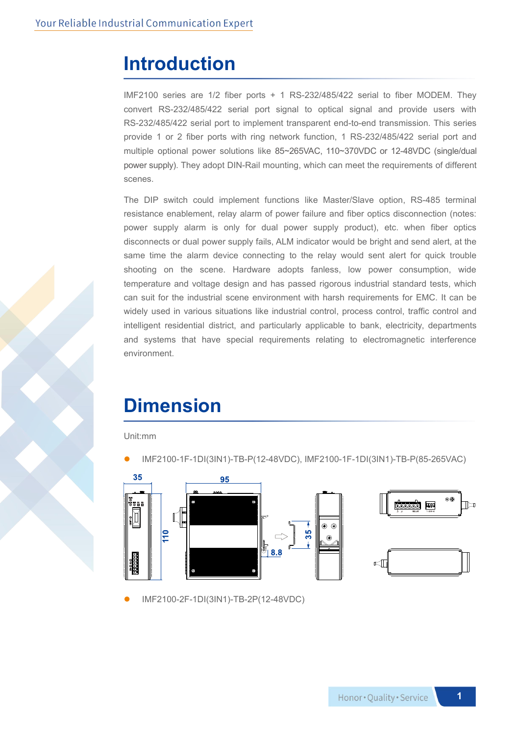### **Introduction**

IMF2100 series are 1/2 fiber ports + 1 RS-232/485/422 serial to fiber MODEM. They convert RS-232/485/422 serial port signal to optical signal and provide users with RS-232/485/422 serial port to implement transparent end-to-end transmission. This series provide 1 or 2 fiber ports with ring network function,1 RS-232/485/422 serial port and multiple optional power solutions like 85~265VAC, 110~370VDC or 12-48VDC (single/dual power supply). They adopt DIN-Rail mounting, which can meet the requirements of different scenes.

The DIP switch could implement functions like Master/Slave option, RS-485 terminal resistance enablement, relay alarm of power failure and fiber optics disconnection (notes: power supply alarm is only for dual power supply product), etc. when fiber optics disconnects or dual power supply fails, ALM indicator would be bright and send alert, at the same time the alarm device connecting to the relay would sent alert for quick trouble shooting on the scene. Hardware adopts fanless, low power consumption, wide temperature and voltage design and has passed rigorous industrial standard tests, which can suit for the industrial scene environment with harsh requirements for EMC. It can be widely used in various situations like industrial control, process control, traffic control and intelligent residential district, and particularly applicable to bank, electricity, departments and systems that have special requirements relating to electromagnetic interference environment.

### **Dimension**

Unit:mm

IMF2100-1F-1DI(3IN1)-TB-P(12-48VDC), IMF2100-1F-1DI(3IN1)-TB-P(85-265VAC)



IMF2100-2F-1DI(3IN1)-TB-2P(12-48VDC)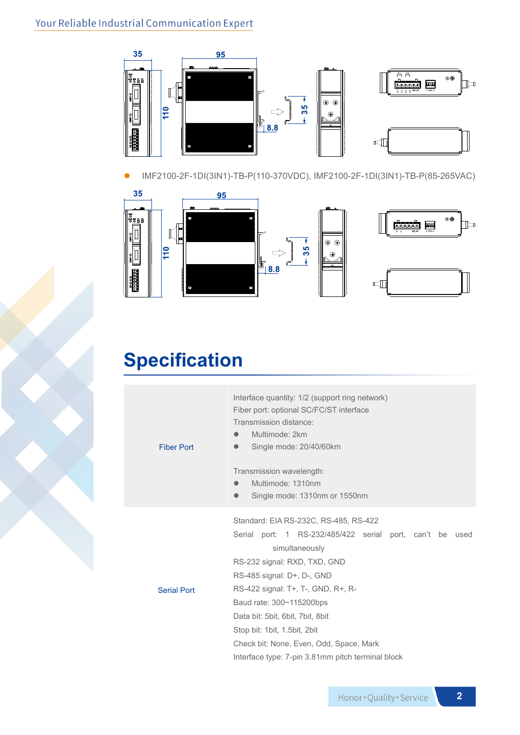#### Your Reliable Industrial Communication Expert



IMF2100-2F-1DI(3IN1)-TB-P(110-370VDC), IMF2100-2F-1DI(3IN1)-TB-P(85-265VAC)



## **Specification**

Fiber Port Interface quantity: 1/2 (support ring network) Fiber port: optional SC/FC/ST interface Transmission distance: Multimode: 2km Single mode: 20/40/60km Transmission wavelength: Multimode: 1310nm Single mode: 1310nm or 1550nm Serial Port Standard: EIA RS-232C, RS-485, RS-422 Serial port: 1 RS-232/485/422 serial port, can't be used simultaneously RS-232 signal: RXD, TXD, GND RS-485 signal: D+, D-, GND RS-422 signal: T+, T-, GND, R+, R- Baud rate: 300~115200bps Data bit: 5bit, 6bit, 7bit, 8bit Stop bit: 1bit, 1.5bit, 2bit Check bit: None, Even, Odd, Space, Mark Interface type: 7-pin 3.81mm pitch terminal block

**2**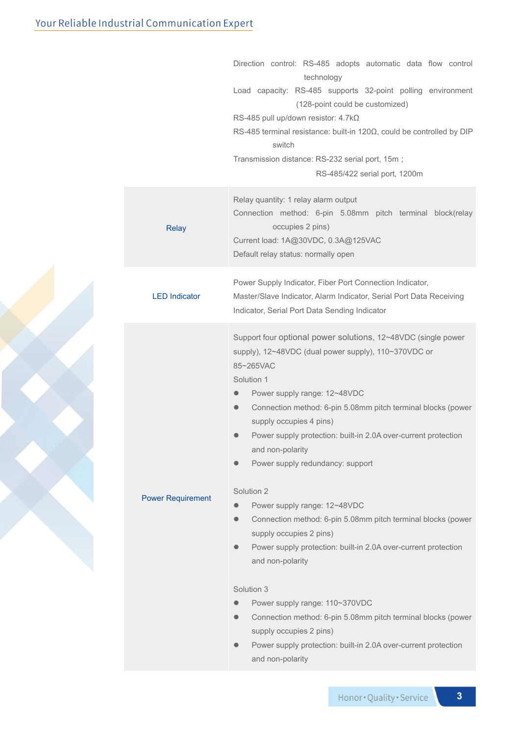| Relay quantity: 1 relay alarm output<br>Connection method: 6-pin 5.08mm pitch terminal block(relay<br>occupies 2 pins)<br><b>Relay</b><br>Current load: 1A@30VDC, 0.3A@125VAC<br>Default relay status: normally open<br>Power Supply Indicator, Fiber Port Connection Indicator,<br><b>LED Indicator</b><br>Master/Slave Indicator, Alarm Indicator, Serial Port Data Receiving<br>Indicator, Serial Port Data Sending Indicator<br>Support four optional power solutions, 12~48VDC (single power<br>supply), 12~48VDC (dual power supply), 110~370VDC or<br>85~265VAC<br>Solution 1<br>Power supply range: 12~48VDC<br>$\bullet$<br>Connection method: 6-pin 5.08mm pitch terminal blocks (power<br>$\bullet$<br>supply occupies 4 pins)<br>Power supply protection: built-in 2.0A over-current protection<br>and non-polarity<br>Power supply redundancy: support<br>Solution 2<br><b>Power Requirement</b><br>Power supply range: 12~48VDC<br>$\bullet$<br>Connection method: 6-pin 5.08mm pitch terminal blocks (power<br>$\bullet$<br>supply occupies 2 pins)<br>Power supply protection: built-in 2.0A over-current protection<br>$\bullet$<br>and non-polarity | Direction control: RS-485 adopts automatic data flow control<br>technology<br>Load capacity: RS-485 supports 32-point polling environment<br>(128-point could be customized)<br>RS-485 pull up/down resistor: $4.7$ k $\Omega$<br>RS-485 terminal resistance: built-in 120 $\Omega$ , could be controlled by DIP<br>switch<br>Transmission distance: RS-232 serial port, 15m;<br>RS-485/422 serial port, 1200m |
|-----------------------------------------------------------------------------------------------------------------------------------------------------------------------------------------------------------------------------------------------------------------------------------------------------------------------------------------------------------------------------------------------------------------------------------------------------------------------------------------------------------------------------------------------------------------------------------------------------------------------------------------------------------------------------------------------------------------------------------------------------------------------------------------------------------------------------------------------------------------------------------------------------------------------------------------------------------------------------------------------------------------------------------------------------------------------------------------------------------------------------------------------------------------------|----------------------------------------------------------------------------------------------------------------------------------------------------------------------------------------------------------------------------------------------------------------------------------------------------------------------------------------------------------------------------------------------------------------|
|                                                                                                                                                                                                                                                                                                                                                                                                                                                                                                                                                                                                                                                                                                                                                                                                                                                                                                                                                                                                                                                                                                                                                                       |                                                                                                                                                                                                                                                                                                                                                                                                                |
|                                                                                                                                                                                                                                                                                                                                                                                                                                                                                                                                                                                                                                                                                                                                                                                                                                                                                                                                                                                                                                                                                                                                                                       |                                                                                                                                                                                                                                                                                                                                                                                                                |
| Solution 3<br>Power supply range: 110~370VDC<br>Connection method: 6-pin 5.08mm pitch terminal blocks (power<br>supply occupies 2 pins)<br>Power supply protection: built-in 2.0A over-current protection<br>$\bullet$                                                                                                                                                                                                                                                                                                                                                                                                                                                                                                                                                                                                                                                                                                                                                                                                                                                                                                                                                |                                                                                                                                                                                                                                                                                                                                                                                                                |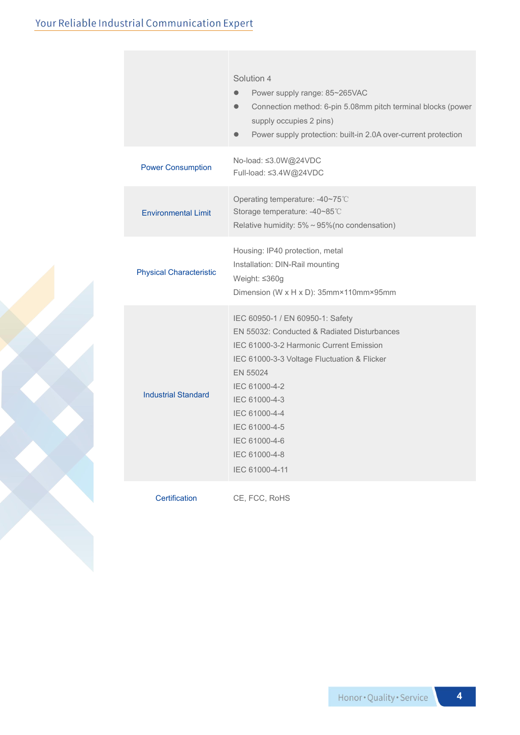|                                | Solution 4<br>Power supply range: 85~265VAC<br>Connection method: 6-pin 5.08mm pitch terminal blocks (power<br>$\bullet$<br>supply occupies 2 pins)<br>Power supply protection: built-in 2.0A over-current protection                                                                                         |  |  |  |
|--------------------------------|---------------------------------------------------------------------------------------------------------------------------------------------------------------------------------------------------------------------------------------------------------------------------------------------------------------|--|--|--|
| <b>Power Consumption</b>       | No-load: ≤3.0W@24VDC<br>Full-load: ≤3.4W@24VDC                                                                                                                                                                                                                                                                |  |  |  |
| <b>Environmental Limit</b>     | Operating temperature: -40~75°C<br>Storage temperature: -40~85°C<br>Relative humidity: 5% ~ 95% (no condensation)                                                                                                                                                                                             |  |  |  |
| <b>Physical Characteristic</b> | Housing: IP40 protection, metal<br>Installation: DIN-Rail mounting<br>Weight: ≤360g<br>Dimension (W x H x D): 35mm×110mm×95mm                                                                                                                                                                                 |  |  |  |
| <b>Industrial Standard</b>     | IEC 60950-1 / EN 60950-1: Safety<br>EN 55032: Conducted & Radiated Disturbances<br>IEC 61000-3-2 Harmonic Current Emission<br>IEC 61000-3-3 Voltage Fluctuation & Flicker<br>EN 55024<br>IEC 61000-4-2<br>IEC 61000-4-3<br>IEC 61000-4-4<br>IEC 61000-4-5<br>IEC 61000-4-6<br>IEC 61000-4-8<br>IEC 61000-4-11 |  |  |  |
| Certification                  | CE, FCC, RoHS                                                                                                                                                                                                                                                                                                 |  |  |  |

**4**